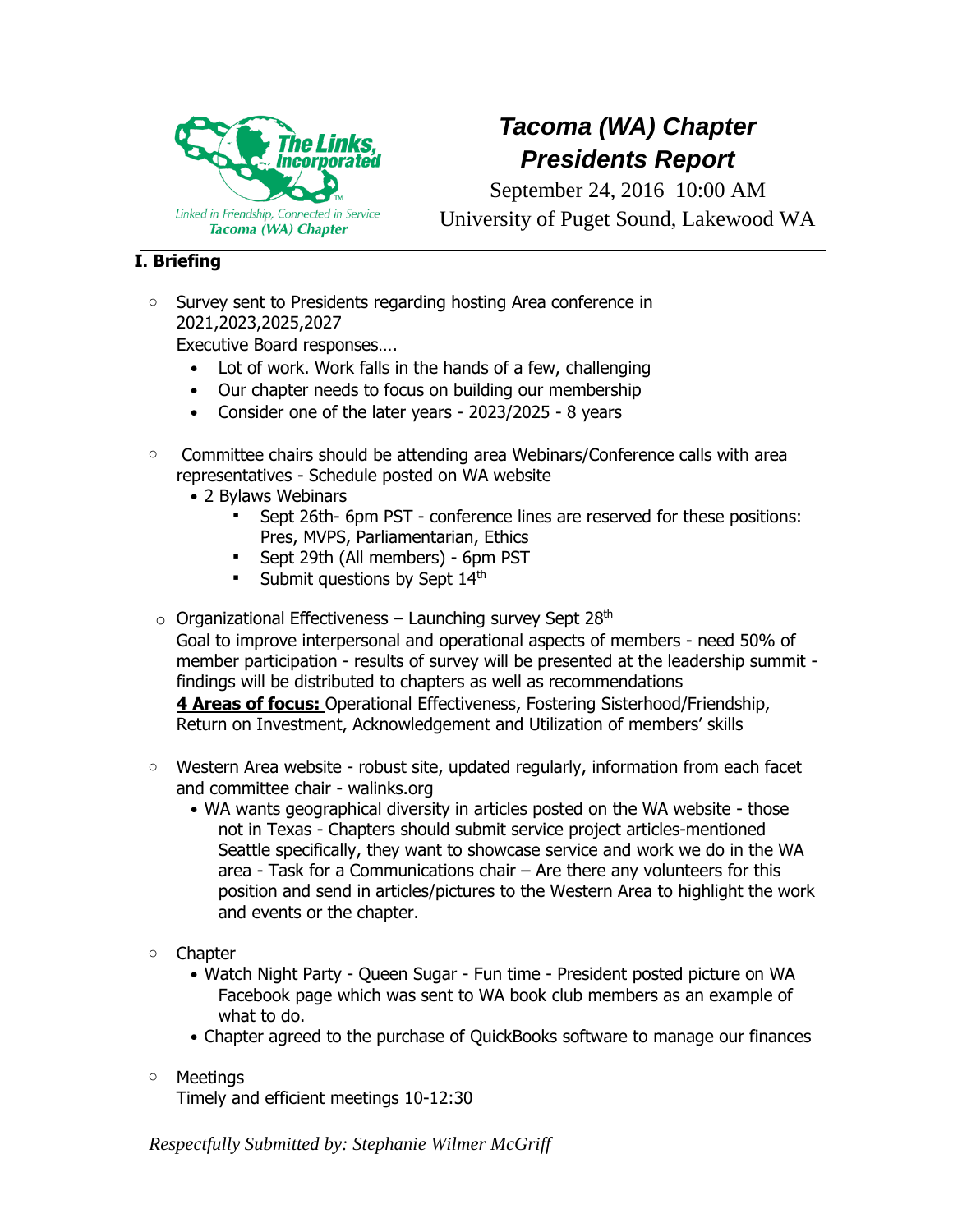

## *Tacoma (WA) Chapter Presidents Report*

September 24, 2016 10:00 AM University of Puget Sound, Lakewood WA

## **I. Briefing**

o Survey sent to Presidents regarding hosting Area conference in 2021,2023,2025,2027

Executive Board responses….

- Lot of work. Work falls in the hands of a few, challenging
- Our chapter needs to focus on building our membership
- Consider one of the later years 2023/2025 8 years
- o Committee chairs should be attending area Webinars/Conference calls with area representatives - Schedule posted on WA website
	- 2 Bylaws Webinars
		- Sept 26th- 6pm PST conference lines are reserved for these positions: Pres, MVPS, Parliamentarian, Ethics
		- Sept 29th (All members) 6pm PST
		- **•** Submit questions by Sept  $14<sup>th</sup>$
- $\circ$  Organizational Effectiveness Launching survey Sept 28<sup>th</sup> Goal to improve interpersonal and operational aspects of members - need 50% of

member participation - results of survey will be presented at the leadership summit findings will be distributed to chapters as well as recommendations

**4 Areas of focus:** Operational Effectiveness, Fostering Sisterhood/Friendship, Return on Investment, Acknowledgement and Utilization of members' skills

- $\circ$  Western Area website robust site, updated regularly, information from each facet and committee chair - walinks.org
	- WA wants geographical diversity in articles posted on the WA website those not in Texas - Chapters should submit service project articles-mentioned Seattle specifically, they want to showcase service and work we do in the WA area - Task for a Communications chair – Are there any volunteers for this position and send in articles/pictures to the Western Area to highlight the work and events or the chapter.
- o Chapter
	- Watch Night Party Queen Sugar Fun time President posted picture on WA Facebook page which was sent to WA book club members as an example of what to do.
	- Chapter agreed to the purchase of QuickBooks software to manage our finances
- o Meetings

Timely and efficient meetings 10-12:30

*Respectfully Submitted by: Stephanie Wilmer McGriff*